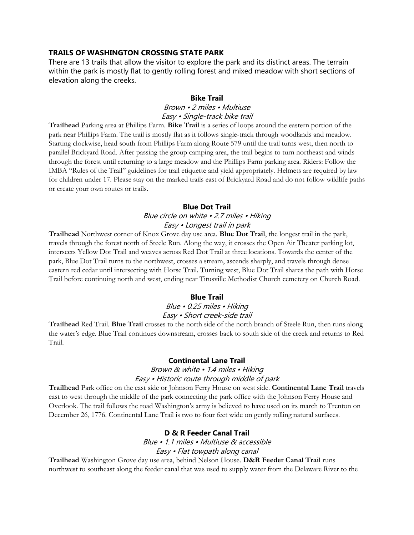## **TRAILS OF WASHINGTON CROSSING STATE PARK**

There are 13 trails that allow the visitor to explore the park and its distinct areas. The terrain within the park is mostly flat to gently rolling forest and mixed meadow with short sections of elevation along the creeks.

#### **Bike Trail**

### Brown • 2 miles • Multiuse Easy • Single-track bike trail

**Trailhead** Parking area at Phillips Farm. **Bike Trail** is a series of loops around the eastern portion of the park near Phillips Farm. The trail is mostly flat as it follows single-track through woodlands and meadow. Starting clockwise, head south from Phillips Farm along Route 579 until the trail turns west, then north to parallel Brickyard Road. After passing the group camping area, the trail begins to turn northeast and winds through the forest until returning to a large meadow and the Phillips Farm parking area. Riders: Follow the IMBA "Rules of the Trail" guidelines for trail etiquette and yield appropriately. Helmets are required by law for children under 17. Please stay on the marked trails east of Brickyard Road and do not follow wildlife paths or create your own routes or trails.

#### **Blue Dot Trail**

# Blue circle on white • 2.7 miles • Hiking Easy • Longest trail in park

**Trailhead** Northwest corner of Knox Grove day use area. **Blue Dot Trail**, the longest trail in the park, travels through the forest north of Steele Run. Along the way, it crosses the Open Air Theater parking lot, intersects Yellow Dot Trail and weaves across Red Dot Trail at three locations. Towards the center of the park, Blue Dot Trail turns to the northwest, crosses a stream, ascends sharply, and travels through dense eastern red cedar until intersecting with Horse Trail. Turning west, Blue Dot Trail shares the path with Horse Trail before continuing north and west, ending near Titusville Methodist Church cemetery on Church Road.

#### **Blue Trail**

### Blue • 0.25 miles • Hiking Easy • Short creek-side trail

**Trailhead** Red Trail. **Blue Trail** crosses to the north side of the north branch of Steele Run, then runs along the water's edge. Blue Trail continues downstream, crosses back to south side of the creek and returns to Red Trail.

#### **Continental Lane Trail**

### Brown & white • 1.4 miles • Hiking Easy • Historic route through middle of park

**Trailhead** Park office on the east side or Johnson Ferry House on west side. **Continental Lane Trail** travels east to west through the middle of the park connecting the park office with the Johnson Ferry House and Overlook. The trail follows the road Washington's army is believed to have used on its march to Trenton on December 26, 1776. Continental Lane Trail is two to four feet wide on gently rolling natural surfaces.

### **D & R Feeder Canal Trail**

Blue • 1.1 miles • Multiuse & accessible Easy • Flat towpath along canal

**Trailhead** Washington Grove day use area, behind Nelson House. **D&R Feeder Canal Trail** runs northwest to southeast along the feeder canal that was used to supply water from the Delaware River to the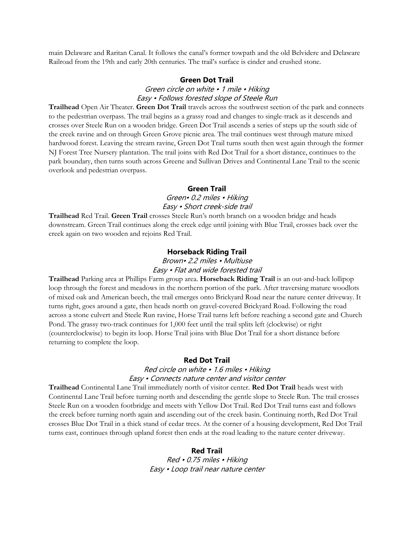main Delaware and Raritan Canal. It follows the canal's former towpath and the old Belvidere and Delaware Railroad from the 19th and early 20th centuries. The trail's surface is cinder and crushed stone.

#### **Green Dot Trail**

## Green circle on white • 1 mile • Hiking Easy • Follows forested slope of Steele Run

**Trailhead** Open Air Theater. **Green Dot Trail** travels across the southwest section of the park and connects to the pedestrian overpass. The trail begins as a grassy road and changes to single-track as it descends and crosses over Steele Run on a wooden bridge. Green Dot Trail ascends a series of steps up the south side of the creek ravine and on through Green Grove picnic area. The trail continues west through mature mixed hardwood forest. Leaving the stream ravine, Green Dot Trail turns south then west again through the former NJ Forest Tree Nursery plantation. The trail joins with Red Dot Trail for a short distance, continues to the park boundary, then turns south across Greene and Sullivan Drives and Continental Lane Trail to the scenic overlook and pedestrian overpass.

#### **Green Trail**

### Green• 0.2 miles • Hiking Easy • Short creek-side trail

**Trailhead** Red Trail. **Green Trail** crosses Steele Run's north branch on a wooden bridge and heads downstream. Green Trail continues along the creek edge until joining with Blue Trail, crosses back over the creek again on two wooden and rejoins Red Trail.

#### **Horseback Riding Trail**

# Brown• 2.2 miles • Multiuse Easy • Flat and wide forested trail

**Trailhead** Parking area at Phillips Farm group area. **Horseback Riding Trail** is an out-and-back lollipop loop through the forest and meadows in the northern portion of the park. After traversing mature woodlots of mixed oak and American beech, the trail emerges onto Brickyard Road near the nature center driveway. It turns right, goes around a gate, then heads north on gravel-covered Brickyard Road. Following the road across a stone culvert and Steele Run ravine, Horse Trail turns left before reaching a second gate and Church Pond. The grassy two-track continues for 1,000 feet until the trail splits left (clockwise) or right (counterclockwise) to begin its loop. Horse Trail joins with Blue Dot Trail for a short distance before returning to complete the loop.

### **Red Dot Trail**

## Red circle on white • 1.6 miles • Hiking Easy • Connects nature center and visitor center

**Trailhead** Continental Lane Trail immediately north of visitor center. **Red Dot Trail** heads west with Continental Lane Trail before turning north and descending the gentle slope to Steele Run. The trail crosses Steele Run on a wooden footbridge and meets with Yellow Dot Trail. Red Dot Trail turns east and follows the creek before turning north again and ascending out of the creek basin. Continuing north, Red Dot Trail crosses Blue Dot Trail in a thick stand of cedar trees. At the corner of a housing development, Red Dot Trail turns east, continues through upland forest then ends at the road leading to the nature center driveway.

#### **Red Trail**

Red • 0.75 miles • Hiking Easy • Loop trail near nature center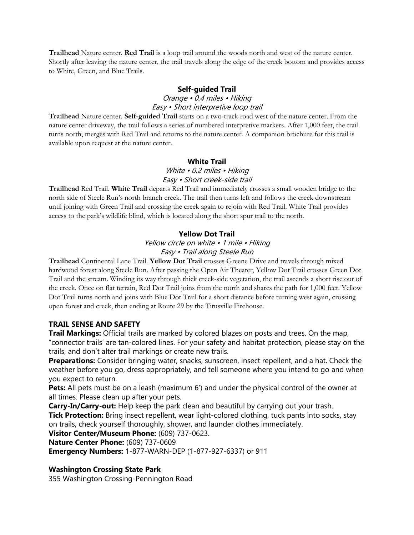**Trailhead** Nature center. **Red Trail** is a loop trail around the woods north and west of the nature center. Shortly after leaving the nature center, the trail travels along the edge of the creek bottom and provides access to White, Green, and Blue Trails.

## **Self-guided Trail**

# Orange • 0.4 miles • Hiking Easy • Short interpretive loop trail

**Trailhead** Nature center. **Self-guided Trail** starts on a two-track road west of the nature center. From the nature center driveway, the trail follows a series of numbered interpretive markers. After 1,000 feet, the trail turns north, merges with Red Trail and returns to the nature center. A companion brochure for this trail is available upon request at the nature center.

# **White Trail**

# White • 0.2 miles • Hiking Easy • Short creek-side trail

**Trailhead** Red Trail. **White Trail** departs Red Trail and immediately crosses a small wooden bridge to the north side of Steele Run's north branch creek. The trail then turns left and follows the creek downstream until joining with Green Trail and crossing the creek again to rejoin with Red Trail. White Trail provides access to the park's wildlife blind, which is located along the short spur trail to the north.

# **Yellow Dot Trail**

Yellow circle on white • 1 mile • Hiking Easy • Trail along Steele Run

**Trailhead** Continental Lane Trail. **Yellow Dot Trail** crosses Greene Drive and travels through mixed hardwood forest along Steele Run. After passing the Open Air Theater, Yellow Dot Trail crosses Green Dot Trail and the stream. Winding its way through thick creek-side vegetation, the trail ascends a short rise out of the creek. Once on flat terrain, Red Dot Trail joins from the north and shares the path for 1,000 feet. Yellow Dot Trail turns north and joins with Blue Dot Trail for a short distance before turning west again, crossing open forest and creek, then ending at Route 29 by the Titusville Firehouse.

# **TRAIL SENSE AND SAFETY**

**Trail Markings:** Official trails are marked by colored blazes on posts and trees. On the map, "connector trails' are tan-colored lines. For your safety and habitat protection, please stay on the trails, and don't alter trail markings or create new trails.

**Preparations:** Consider bringing water, snacks, sunscreen, insect repellent, and a hat. Check the weather before you go, dress appropriately, and tell someone where you intend to go and when you expect to return.

**Pets:** All pets must be on a leash (maximum 6') and under the physical control of the owner at all times. Please clean up after your pets.

**Carry-In/Carry-out:** Help keep the park clean and beautiful by carrying out your trash. **Tick Protection:** Bring insect repellent, wear light-colored clothing, tuck pants into socks, stay on trails, check yourself thoroughly, shower, and launder clothes immediately.

**Visitor Center/Museum Phone:** (609) 737-0623.

**Nature Center Phone:** (609) 737-0609

**Emergency Numbers:** 1-877-WARN-DEP (1-877-927-6337) or 911

# **Washington Crossing State Park**

355 Washington Crossing-Pennington Road